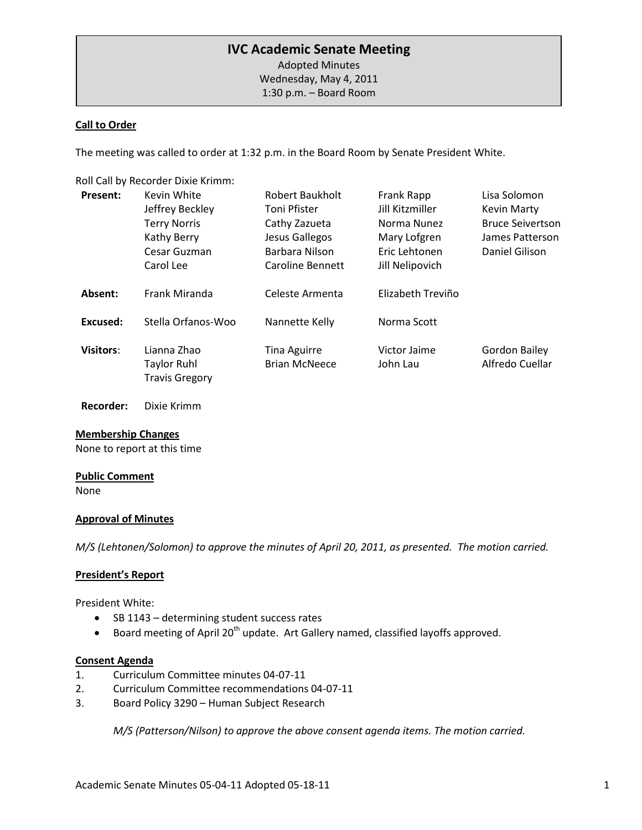# **IVC Academic Senate Meeting**

Adopted Minutes

Wednesday, May 4, 2011 1:30 p.m. – Board Room

# **Call to Order**

The meeting was called to order at 1:32 p.m. in the Board Room by Senate President White.

Roll Call by Recorder Dixie Krimm:

| <b>Present:</b>  | Kevin White           | Robert Baukholt         | Frank Rapp        | Lisa Solomon            |
|------------------|-----------------------|-------------------------|-------------------|-------------------------|
|                  | Jeffrey Beckley       | Toni Pfister            | Jill Kitzmiller   | <b>Kevin Marty</b>      |
|                  | <b>Terry Norris</b>   | Cathy Zazueta           | Norma Nunez       | <b>Bruce Seivertson</b> |
|                  | Kathy Berry           | Jesus Gallegos          | Mary Lofgren      | James Patterson         |
|                  | Cesar Guzman          | Barbara Nilson          | Eric Lehtonen     | Daniel Gilison          |
|                  | Carol Lee             | <b>Caroline Bennett</b> | Jill Nelipovich   |                         |
| Absent:          | Frank Miranda         | Celeste Armenta         | Elizabeth Treviño |                         |
| Excused:         | Stella Orfanos-Woo    | Nannette Kelly          | Norma Scott       |                         |
| <b>Visitors:</b> | Lianna Zhao           | <b>Tina Aguirre</b>     | Victor Jaime      | <b>Gordon Bailey</b>    |
|                  | <b>Taylor Ruhl</b>    | <b>Brian McNeece</b>    | John Lau          | Alfredo Cuellar         |
|                  | <b>Travis Gregory</b> |                         |                   |                         |

**Recorder:** Dixie Krimm

## **Membership Changes**

None to report at this time

## **Public Comment**

None

# **Approval of Minutes**

*M/S (Lehtonen/Solomon) to approve the minutes of April 20, 2011, as presented. The motion carried.* 

## **President's Report**

President White:

- SB 1143 determining student success rates
- Board meeting of April 20<sup>th</sup> update. Art Gallery named, classified layoffs approved.

## **Consent Agenda**

- 1. Curriculum Committee minutes 04-07-11
- 2. Curriculum Committee recommendations 04-07-11
- 3. Board Policy 3290 Human Subject Research

*M/S (Patterson/Nilson) to approve the above consent agenda items. The motion carried.*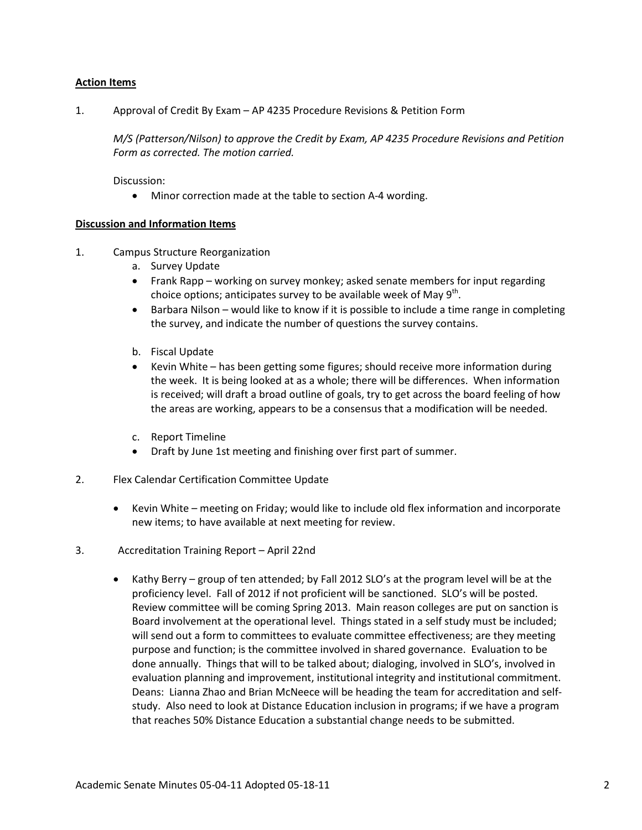## **Action Items**

1. Approval of Credit By Exam – AP 4235 Procedure Revisions & Petition Form

*M/S (Patterson/Nilson) to approve the Credit by Exam, AP 4235 Procedure Revisions and Petition Form as corrected. The motion carried.*

Discussion:

• Minor correction made at the table to section A-4 wording.

## **Discussion and Information Items**

- 1. Campus Structure Reorganization
	- a. Survey Update
	- Frank Rapp working on survey monkey; asked senate members for input regarding choice options; anticipates survey to be available week of May  $9<sup>th</sup>$ .
	- Barbara Nilson would like to know if it is possible to include a time range in completing the survey, and indicate the number of questions the survey contains.
	- b. Fiscal Update
	- Kevin White has been getting some figures; should receive more information during the week. It is being looked at as a whole; there will be differences. When information is received; will draft a broad outline of goals, try to get across the board feeling of how the areas are working, appears to be a consensus that a modification will be needed.
	- c. Report Timeline
	- Draft by June 1st meeting and finishing over first part of summer.
- 2. Flex Calendar Certification Committee Update
	- Kevin White meeting on Friday; would like to include old flex information and incorporate new items; to have available at next meeting for review.
- 3. Accreditation Training Report April 22nd
	- Kathy Berry group of ten attended; by Fall 2012 SLO's at the program level will be at the proficiency level. Fall of 2012 if not proficient will be sanctioned. SLO's will be posted. Review committee will be coming Spring 2013. Main reason colleges are put on sanction is Board involvement at the operational level. Things stated in a self study must be included; will send out a form to committees to evaluate committee effectiveness; are they meeting purpose and function; is the committee involved in shared governance. Evaluation to be done annually. Things that will to be talked about; dialoging, involved in SLO's, involved in evaluation planning and improvement, institutional integrity and institutional commitment. Deans: Lianna Zhao and Brian McNeece will be heading the team for accreditation and selfstudy. Also need to look at Distance Education inclusion in programs; if we have a program that reaches 50% Distance Education a substantial change needs to be submitted.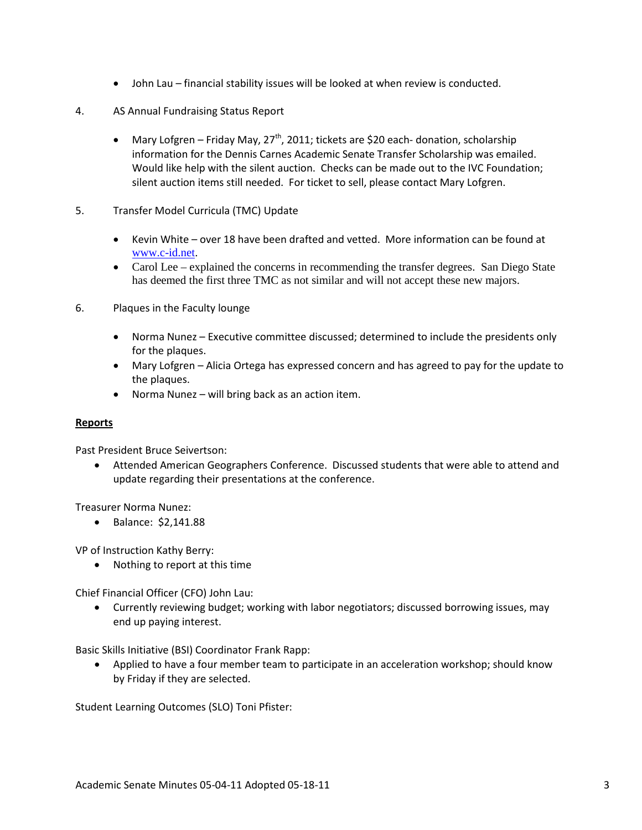- John Lau financial stability issues will be looked at when review is conducted.
- 4. AS Annual Fundraising Status Report
	- Mary Lofgren Friday May,  $27<sup>th</sup>$ , 2011; tickets are \$20 each-donation, scholarship information for the Dennis Carnes Academic Senate Transfer Scholarship was emailed. Would like help with the silent auction. Checks can be made out to the IVC Foundation; silent auction items still needed. For ticket to sell, please contact Mary Lofgren.
- 5. Transfer Model Curricula (TMC) Update
	- Kevin White over 18 have been drafted and vetted. More information can be found at [www.c-id.net.](http://www.c-id.net/)
	- Carol Lee explained the concerns in recommending the transfer degrees. San Diego State has deemed the first three TMC as not similar and will not accept these new majors.
- 6. Plaques in the Faculty lounge
	- Norma Nunez Executive committee discussed; determined to include the presidents only for the plaques.
	- Mary Lofgren Alicia Ortega has expressed concern and has agreed to pay for the update to the plaques.
	- Norma Nunez will bring back as an action item.

# **Reports**

Past President Bruce Seivertson:

• Attended American Geographers Conference. Discussed students that were able to attend and update regarding their presentations at the conference.

Treasurer Norma Nunez:

• Balance: \$2,141.88

VP of Instruction Kathy Berry:

• Nothing to report at this time

Chief Financial Officer (CFO) John Lau:

• Currently reviewing budget; working with labor negotiators; discussed borrowing issues, may end up paying interest.

Basic Skills Initiative (BSI) Coordinator Frank Rapp:

• Applied to have a four member team to participate in an acceleration workshop; should know by Friday if they are selected.

Student Learning Outcomes (SLO) Toni Pfister: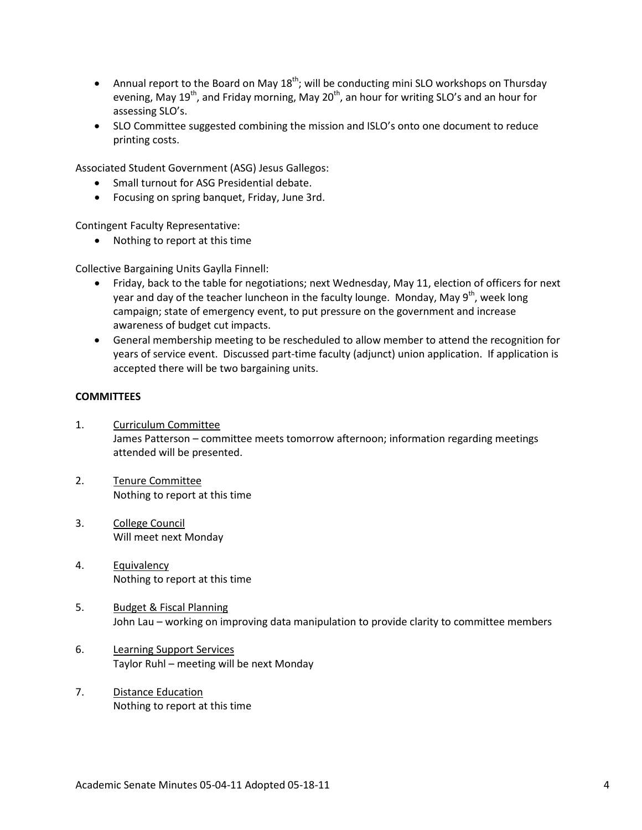- Annual report to the Board on May  $18^{th}$ ; will be conducting mini SLO workshops on Thursday evening, May  $19^{th}$ , and Friday morning, May  $20^{th}$ , an hour for writing SLO's and an hour for assessing SLO's.
- SLO Committee suggested combining the mission and ISLO's onto one document to reduce printing costs.

Associated Student Government (ASG) Jesus Gallegos:

- Small turnout for ASG Presidential debate.
- Focusing on spring banquet, Friday, June 3rd.

Contingent Faculty Representative:

• Nothing to report at this time

Collective Bargaining Units Gaylla Finnell:

- Friday, back to the table for negotiations; next Wednesday, May 11, election of officers for next year and day of the teacher luncheon in the faculty lounge. Monday, May  $9<sup>th</sup>$ , week long campaign; state of emergency event, to put pressure on the government and increase awareness of budget cut impacts.
- General membership meeting to be rescheduled to allow member to attend the recognition for years of service event. Discussed part-time faculty (adjunct) union application. If application is accepted there will be two bargaining units.

# **COMMITTEES**

- 1. Curriculum Committee James Patterson – committee meets tomorrow afternoon; information regarding meetings attended will be presented.
- 2. Tenure Committee Nothing to report at this time
- 3. College Council Will meet next Monday
- 4. Equivalency Nothing to report at this time
- 5. Budget & Fiscal Planning John Lau – working on improving data manipulation to provide clarity to committee members
- 6. Learning Support Services Taylor Ruhl – meeting will be next Monday
- 7. Distance Education Nothing to report at this time